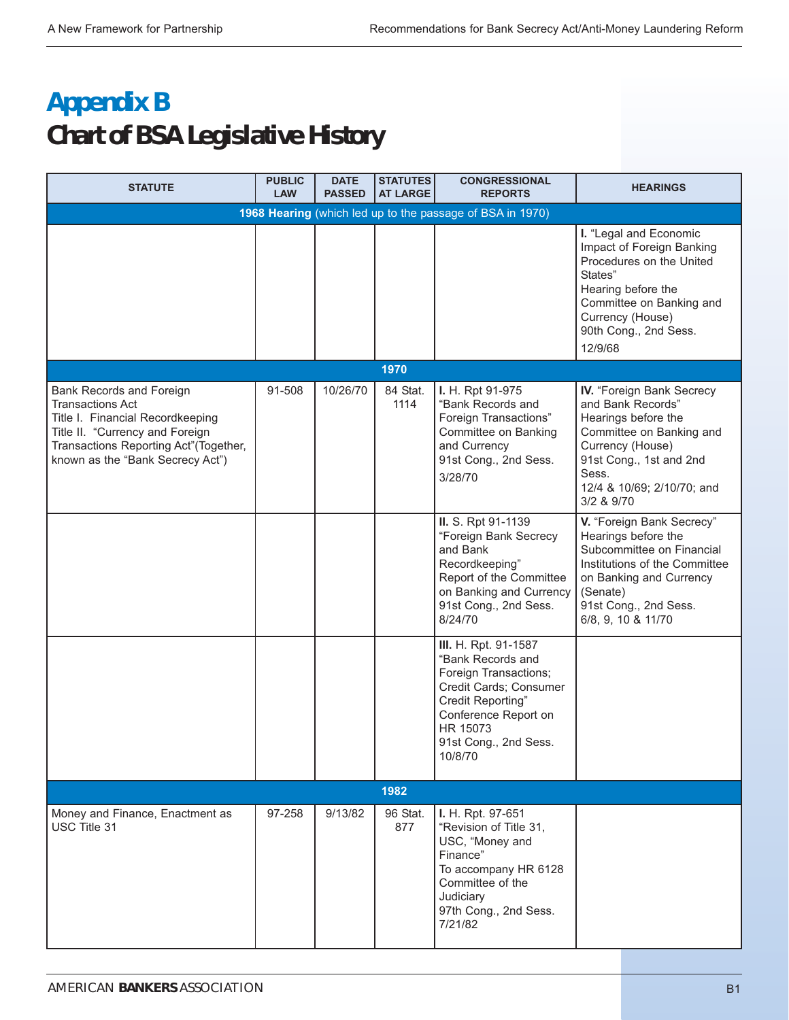## **Appendix B Chart of BSA Legislative History**

| <b>STATUTE</b>                                                                                                                                                                                          | <b>PUBLIC</b><br><b>LAW</b> | <b>DATE</b><br><b>PASSED</b> | <b>STATUTES</b><br><b>AT LARGE</b> | <b>CONGRESSIONAL</b><br><b>REPORTS</b>                                                                                                                                                    | <b>HEARINGS</b>                                                                                                                                                                                       |
|---------------------------------------------------------------------------------------------------------------------------------------------------------------------------------------------------------|-----------------------------|------------------------------|------------------------------------|-------------------------------------------------------------------------------------------------------------------------------------------------------------------------------------------|-------------------------------------------------------------------------------------------------------------------------------------------------------------------------------------------------------|
|                                                                                                                                                                                                         |                             |                              |                                    | 1968 Hearing (which led up to the passage of BSA in 1970)                                                                                                                                 |                                                                                                                                                                                                       |
|                                                                                                                                                                                                         |                             |                              |                                    |                                                                                                                                                                                           | I. "Legal and Economic<br>Impact of Foreign Banking<br>Procedures on the United<br>States"<br>Hearing before the<br>Committee on Banking and<br>Currency (House)<br>90th Cong., 2nd Sess.<br>12/9/68  |
|                                                                                                                                                                                                         |                             |                              | 1970                               |                                                                                                                                                                                           |                                                                                                                                                                                                       |
| Bank Records and Foreign<br><b>Transactions Act</b><br>Title I. Financial Recordkeeping<br>Title II. "Currency and Foreign<br>Transactions Reporting Act"(Together,<br>known as the "Bank Secrecy Act") | 91-508                      | 10/26/70                     | 84 Stat.<br>1114                   | I. H. Rpt 91-975<br>"Bank Records and<br>Foreign Transactions"<br>Committee on Banking<br>and Currency<br>91st Cong., 2nd Sess.<br>3/28/70                                                | IV. "Foreign Bank Secrecy<br>and Bank Records"<br>Hearings before the<br>Committee on Banking and<br>Currency (House)<br>91st Cong., 1st and 2nd<br>Sess.<br>12/4 & 10/69; 2/10/70; and<br>3/2 & 9/70 |
|                                                                                                                                                                                                         |                             |                              |                                    | II. S. Rpt 91-1139<br>"Foreign Bank Secrecy<br>and Bank<br>Recordkeeping"<br>Report of the Committee<br>on Banking and Currency<br>91st Cong., 2nd Sess.<br>8/24/70                       | V. "Foreign Bank Secrecy"<br>Hearings before the<br>Subcommittee on Financial<br>Institutions of the Committee<br>on Banking and Currency<br>(Senate)<br>91st Cong., 2nd Sess.<br>6/8, 9, 10 & 11/70  |
|                                                                                                                                                                                                         |                             |                              |                                    | III. H. Rpt. 91-1587<br>"Bank Records and<br>Foreign Transactions;<br>Credit Cards; Consumer<br>Credit Reporting"<br>Conference Report on<br>HR 15073<br>91st Cong., 2nd Sess.<br>10/8/70 |                                                                                                                                                                                                       |
|                                                                                                                                                                                                         |                             |                              | 1982                               |                                                                                                                                                                                           |                                                                                                                                                                                                       |
| Money and Finance, Enactment as<br>USC Title 31                                                                                                                                                         | 97-258                      | 9/13/82                      | 96 Stat.<br>877                    | I. H. Rpt. 97-651<br>"Revision of Title 31,<br>USC, "Money and<br>Finance"<br>To accompany HR 6128<br>Committee of the<br>Judiciary<br>97th Cong., 2nd Sess.<br>7/21/82                   |                                                                                                                                                                                                       |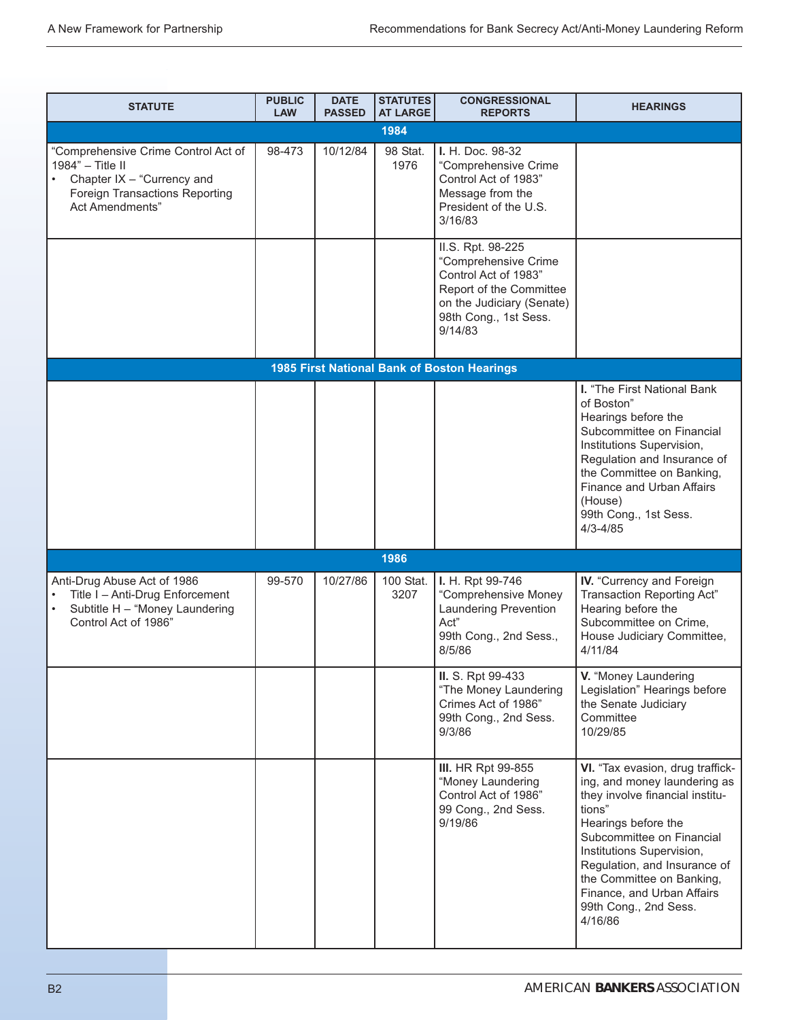| <b>STATUTE</b>                                                                                                                                                 | <b>PUBLIC</b><br><b>LAW</b> | <b>DATE</b><br><b>PASSED</b> | <b>STATUTES</b><br><b>AT LARGE</b> | <b>CONGRESSIONAL</b><br><b>REPORTS</b>                                                                                                                        | <b>HEARINGS</b>                                                                                                                                                                                                                                                                                                               |
|----------------------------------------------------------------------------------------------------------------------------------------------------------------|-----------------------------|------------------------------|------------------------------------|---------------------------------------------------------------------------------------------------------------------------------------------------------------|-------------------------------------------------------------------------------------------------------------------------------------------------------------------------------------------------------------------------------------------------------------------------------------------------------------------------------|
|                                                                                                                                                                |                             |                              | 1984                               |                                                                                                                                                               |                                                                                                                                                                                                                                                                                                                               |
| "Comprehensive Crime Control Act of<br>1984" - Title II<br>Chapter IX - "Currency and<br>$\bullet$<br><b>Foreign Transactions Reporting</b><br>Act Amendments" | 98-473                      | 10/12/84                     | 98 Stat.<br>1976                   | I. H. Doc. 98-32<br>"Comprehensive Crime<br>Control Act of 1983"<br>Message from the<br>President of the U.S.<br>3/16/83                                      |                                                                                                                                                                                                                                                                                                                               |
|                                                                                                                                                                |                             |                              |                                    | II.S. Rpt. 98-225<br>"Comprehensive Crime<br>Control Act of 1983"<br>Report of the Committee<br>on the Judiciary (Senate)<br>98th Cong., 1st Sess.<br>9/14/83 |                                                                                                                                                                                                                                                                                                                               |
|                                                                                                                                                                |                             |                              |                                    | 1985 First National Bank of Boston Hearings                                                                                                                   |                                                                                                                                                                                                                                                                                                                               |
|                                                                                                                                                                |                             |                              |                                    |                                                                                                                                                               | I. "The First National Bank<br>of Boston"<br>Hearings before the<br>Subcommittee on Financial<br>Institutions Supervision,<br>Regulation and Insurance of<br>the Committee on Banking,<br>Finance and Urban Affairs<br>(House)<br>99th Cong., 1st Sess.<br>$4/3 - 4/85$                                                       |
|                                                                                                                                                                |                             |                              | 1986                               |                                                                                                                                                               |                                                                                                                                                                                                                                                                                                                               |
| Anti-Drug Abuse Act of 1986<br>Title I - Anti-Drug Enforcement<br>Subtitle H - "Money Laundering<br>Control Act of 1986"                                       | 99-570                      | 10/27/86                     | 100 Stat.<br>3207                  | I. H. Rpt 99-746<br>"Comprehensive Money<br>Laundering Prevention<br>Act"<br>99th Cong., 2nd Sess.,<br>8/5/86                                                 | IV. "Currency and Foreign<br>Transaction Reporting Act"<br>Hearing before the<br>Subcommittee on Crime,<br>House Judiciary Committee,<br>4/11/84                                                                                                                                                                              |
|                                                                                                                                                                |                             |                              |                                    | II. S. Rpt 99-433<br>"The Money Laundering<br>Crimes Act of 1986"<br>99th Cong., 2nd Sess.<br>9/3/86                                                          | V. "Money Laundering<br>Legislation" Hearings before<br>the Senate Judiciary<br>Committee<br>10/29/85                                                                                                                                                                                                                         |
|                                                                                                                                                                |                             |                              |                                    | <b>III.</b> HR Rpt 99-855<br>"Money Laundering<br>Control Act of 1986"<br>99 Cong., 2nd Sess.<br>9/19/86                                                      | VI. "Tax evasion, drug traffick-<br>ing, and money laundering as<br>they involve financial institu-<br>tions"<br>Hearings before the<br>Subcommittee on Financial<br>Institutions Supervision,<br>Regulation, and Insurance of<br>the Committee on Banking,<br>Finance, and Urban Affairs<br>99th Cong., 2nd Sess.<br>4/16/86 |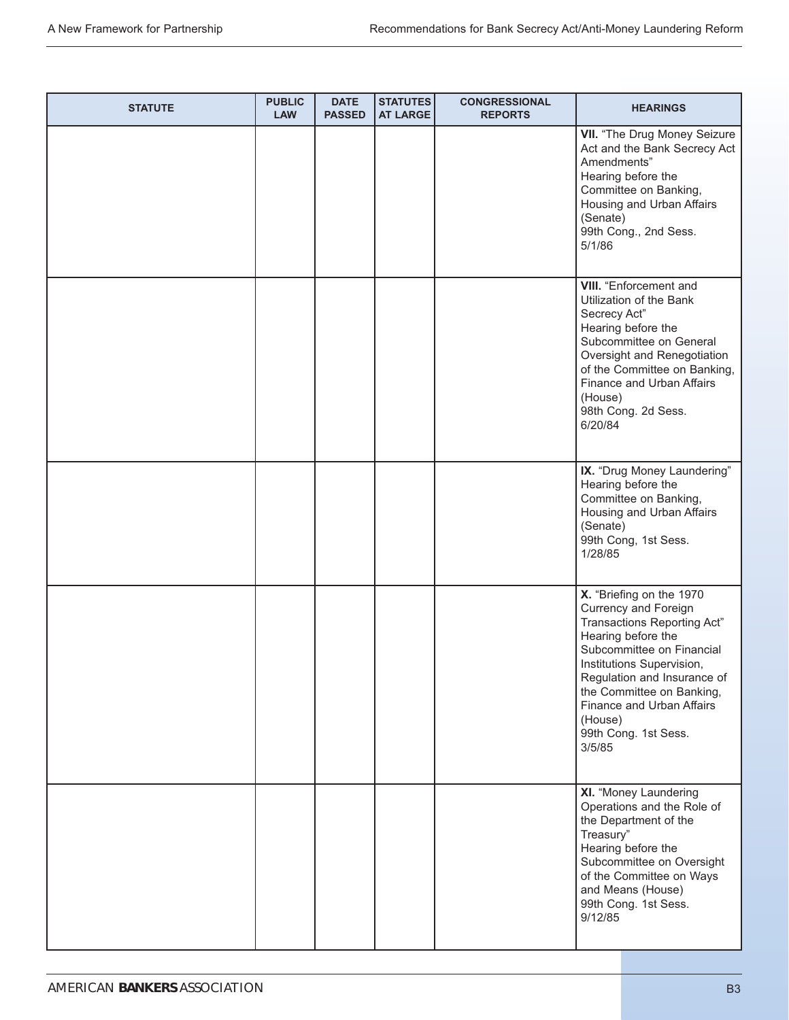| <b>STATUTE</b> | <b>PUBLIC</b><br><b>LAW</b> | <b>DATE</b><br><b>PASSED</b> | STATUTES<br><b>AT LARGE</b> | <b>CONGRESSIONAL</b><br><b>REPORTS</b> | <b>HEARINGS</b>                                                                                                                                                                                                                                                                                              |
|----------------|-----------------------------|------------------------------|-----------------------------|----------------------------------------|--------------------------------------------------------------------------------------------------------------------------------------------------------------------------------------------------------------------------------------------------------------------------------------------------------------|
|                |                             |                              |                             |                                        | VII. "The Drug Money Seizure<br>Act and the Bank Secrecy Act<br>Amendments"<br>Hearing before the<br>Committee on Banking,<br>Housing and Urban Affairs<br>(Senate)<br>99th Cong., 2nd Sess.<br>5/1/86                                                                                                       |
|                |                             |                              |                             |                                        | <b>VIII.</b> "Enforcement and<br>Utilization of the Bank<br>Secrecy Act"<br>Hearing before the<br>Subcommittee on General<br>Oversight and Renegotiation<br>of the Committee on Banking,<br>Finance and Urban Affairs<br>(House)<br>98th Cong. 2d Sess.<br>6/20/84                                           |
|                |                             |                              |                             |                                        | IX. "Drug Money Laundering"<br>Hearing before the<br>Committee on Banking,<br>Housing and Urban Affairs<br>(Senate)<br>99th Cong, 1st Sess.<br>1/28/85                                                                                                                                                       |
|                |                             |                              |                             |                                        | X. "Briefing on the 1970<br><b>Currency and Foreign</b><br>Transactions Reporting Act"<br>Hearing before the<br>Subcommittee on Financial<br>Institutions Supervision,<br>Regulation and Insurance of<br>the Committee on Banking,<br>Finance and Urban Affairs<br>(House)<br>99th Cong. 1st Sess.<br>3/5/85 |
|                |                             |                              |                             |                                        | XI. "Money Laundering<br>Operations and the Role of<br>the Department of the<br>Treasury"<br>Hearing before the<br>Subcommittee on Oversight<br>of the Committee on Ways<br>and Means (House)<br>99th Cong. 1st Sess.<br>9/12/85                                                                             |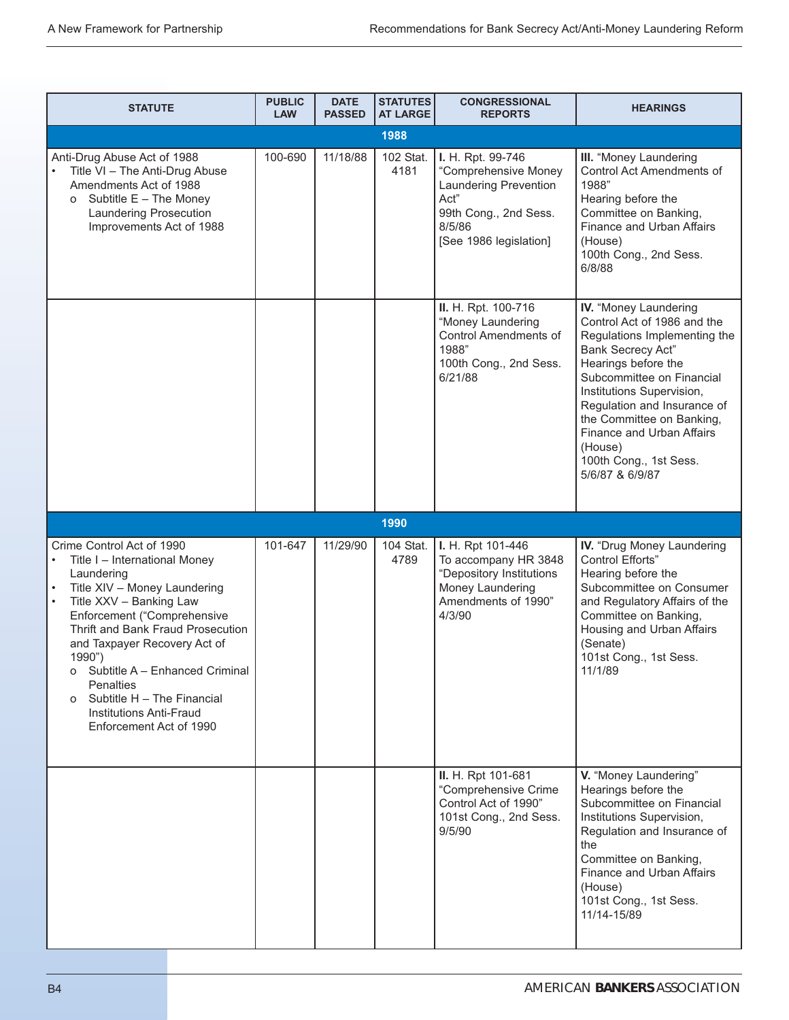| <b>STATUTE</b>                                                                                                                                                                                                                                                                                                                                                                                                              | <b>PUBLIC</b><br><b>LAW</b> | <b>DATE</b><br><b>PASSED</b> | <b>STATUTES</b><br><b>AT LARGE</b> | <b>CONGRESSIONAL</b><br><b>REPORTS</b>                                                                                                  | <b>HEARINGS</b>                                                                                                                                                                                                                                                                                                                             |
|-----------------------------------------------------------------------------------------------------------------------------------------------------------------------------------------------------------------------------------------------------------------------------------------------------------------------------------------------------------------------------------------------------------------------------|-----------------------------|------------------------------|------------------------------------|-----------------------------------------------------------------------------------------------------------------------------------------|---------------------------------------------------------------------------------------------------------------------------------------------------------------------------------------------------------------------------------------------------------------------------------------------------------------------------------------------|
|                                                                                                                                                                                                                                                                                                                                                                                                                             |                             |                              | 1988                               |                                                                                                                                         |                                                                                                                                                                                                                                                                                                                                             |
| Anti-Drug Abuse Act of 1988<br>Title VI - The Anti-Drug Abuse<br>Amendments Act of 1988<br>Subtitle E - The Money<br>O<br>Laundering Prosecution<br>Improvements Act of 1988                                                                                                                                                                                                                                                | 100-690                     | 11/18/88                     | 102 Stat.<br>4181                  | I. H. Rpt. 99-746<br>"Comprehensive Money<br>Laundering Prevention<br>Act"<br>99th Cong., 2nd Sess.<br>8/5/86<br>[See 1986 legislation] | III. "Money Laundering<br>Control Act Amendments of<br>1988"<br>Hearing before the<br>Committee on Banking,<br>Finance and Urban Affairs<br>(House)<br>100th Cong., 2nd Sess.<br>6/8/88                                                                                                                                                     |
|                                                                                                                                                                                                                                                                                                                                                                                                                             |                             |                              |                                    | II. H. Rpt. 100-716<br>"Money Laundering<br><b>Control Amendments of</b><br>1988"<br>100th Cong., 2nd Sess.<br>6/21/88                  | IV. "Money Laundering<br>Control Act of 1986 and the<br>Regulations Implementing the<br>Bank Secrecy Act"<br>Hearings before the<br>Subcommittee on Financial<br>Institutions Supervision,<br>Regulation and Insurance of<br>the Committee on Banking,<br>Finance and Urban Affairs<br>(House)<br>100th Cong., 1st Sess.<br>5/6/87 & 6/9/87 |
|                                                                                                                                                                                                                                                                                                                                                                                                                             |                             |                              | 1990                               |                                                                                                                                         |                                                                                                                                                                                                                                                                                                                                             |
| Crime Control Act of 1990<br>Title I - International Money<br>٠<br>Laundering<br>Title XIV - Money Laundering<br>Title XXV - Banking Law<br>$\bullet$<br>Enforcement ("Comprehensive<br>Thrift and Bank Fraud Prosecution<br>and Taxpayer Recovery Act of<br>1990")<br>o Subtitle A - Enhanced Criminal<br><b>Penalties</b><br>Subtitle H - The Financial<br>$\Omega$<br>Institutions Anti-Fraud<br>Enforcement Act of 1990 | 101-647                     | 11/29/90                     | 104 Stat.<br>4789                  | I. H. Rpt 101-446<br>To accompany HR 3848<br>"Depository Institutions<br>Money Laundering<br>Amendments of 1990"<br>4/3/90              | IV. "Drug Money Laundering<br>Control Efforts"<br>Hearing before the<br>Subcommittee on Consumer<br>and Regulatory Affairs of the<br>Committee on Banking,<br>Housing and Urban Affairs<br>(Senate)<br>101st Cong., 1st Sess.<br>11/1/89                                                                                                    |
|                                                                                                                                                                                                                                                                                                                                                                                                                             |                             |                              |                                    | II. H. Rpt 101-681<br>"Comprehensive Crime<br>Control Act of 1990"<br>101st Cong., 2nd Sess.<br>9/5/90                                  | V. "Money Laundering"<br>Hearings before the<br>Subcommittee on Financial<br>Institutions Supervision,<br>Regulation and Insurance of<br>the<br>Committee on Banking,<br>Finance and Urban Affairs<br>(House)<br>101st Cong., 1st Sess.<br>11/14-15/89                                                                                      |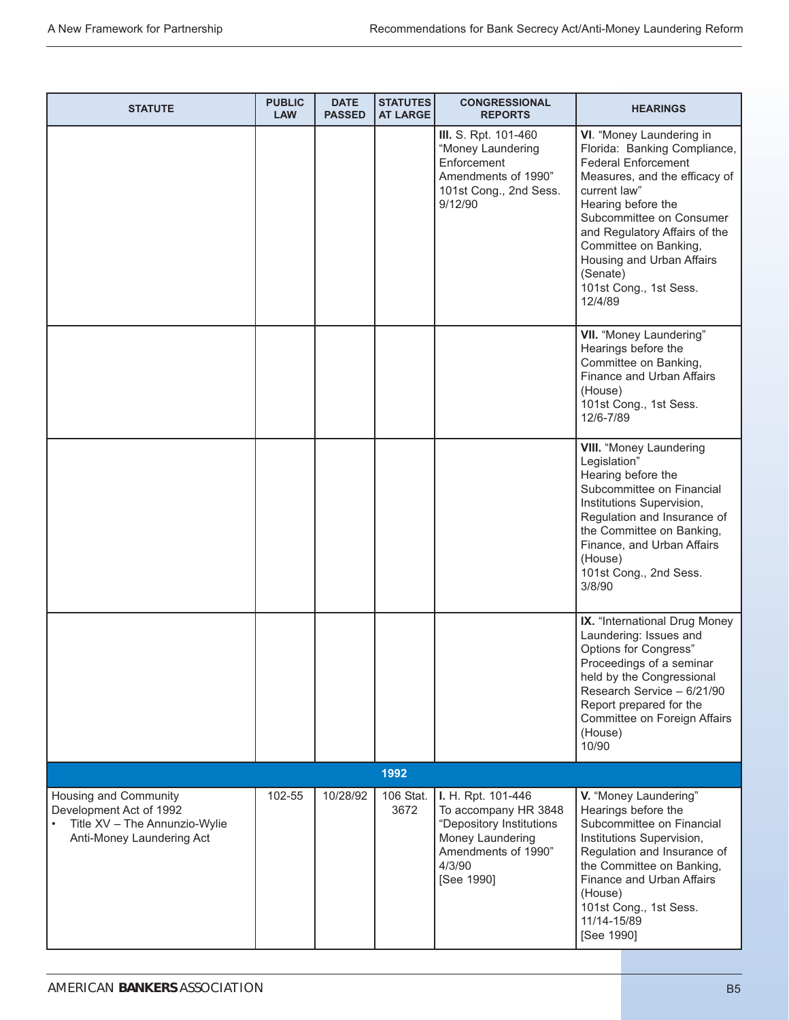| <b>STATUTE</b>                                                                                                 | <b>PUBLIC</b><br><b>LAW</b> | <b>DATE</b><br><b>PASSED</b> | <b>STATUTES</b><br><b>AT LARGE</b> | <b>CONGRESSIONAL</b><br><b>REPORTS</b>                                                                                                    | <b>HEARINGS</b>                                                                                                                                                                                                                                                                                                                   |
|----------------------------------------------------------------------------------------------------------------|-----------------------------|------------------------------|------------------------------------|-------------------------------------------------------------------------------------------------------------------------------------------|-----------------------------------------------------------------------------------------------------------------------------------------------------------------------------------------------------------------------------------------------------------------------------------------------------------------------------------|
|                                                                                                                |                             |                              |                                    | III. S. Rpt. 101-460<br>"Money Laundering<br>Enforcement<br>Amendments of 1990"<br>101st Cong., 2nd Sess.<br>9/12/90                      | VI. "Money Laundering in<br>Florida: Banking Compliance,<br><b>Federal Enforcement</b><br>Measures, and the efficacy of<br>current law"<br>Hearing before the<br>Subcommittee on Consumer<br>and Regulatory Affairs of the<br>Committee on Banking,<br>Housing and Urban Affairs<br>(Senate)<br>101st Cong., 1st Sess.<br>12/4/89 |
|                                                                                                                |                             |                              |                                    |                                                                                                                                           | VII. "Money Laundering"<br>Hearings before the<br>Committee on Banking,<br>Finance and Urban Affairs<br>(House)<br>101st Cong., 1st Sess.<br>12/6-7/89                                                                                                                                                                            |
|                                                                                                                |                             |                              |                                    |                                                                                                                                           | <b>VIII.</b> "Money Laundering<br>Legislation"<br>Hearing before the<br>Subcommittee on Financial<br>Institutions Supervision,<br>Regulation and Insurance of<br>the Committee on Banking,<br>Finance, and Urban Affairs<br>(House)<br>101st Cong., 2nd Sess.<br>3/8/90                                                           |
|                                                                                                                |                             |                              |                                    |                                                                                                                                           | IX. "International Drug Money<br>Laundering: Issues and<br>Options for Congress"<br>Proceedings of a seminar<br>held by the Congressional<br>Research Service - 6/21/90<br>Report prepared for the<br>Committee on Foreign Affairs<br>(House)<br>10/90                                                                            |
|                                                                                                                |                             |                              | 1992                               |                                                                                                                                           |                                                                                                                                                                                                                                                                                                                                   |
| Housing and Community<br>Development Act of 1992<br>Title XV - The Annunzio-Wylie<br>Anti-Money Laundering Act | 102-55                      | 10/28/92                     | 106 Stat.<br>3672                  | I. H. Rpt. 101-446<br>To accompany HR 3848<br>"Depository Institutions<br>Money Laundering<br>Amendments of 1990"<br>4/3/90<br>[See 1990] | V. "Money Laundering"<br>Hearings before the<br>Subcommittee on Financial<br>Institutions Supervision,<br>Regulation and Insurance of<br>the Committee on Banking,<br>Finance and Urban Affairs<br>(House)<br>101st Cong., 1st Sess.<br>11/14-15/89<br>[See 1990]                                                                 |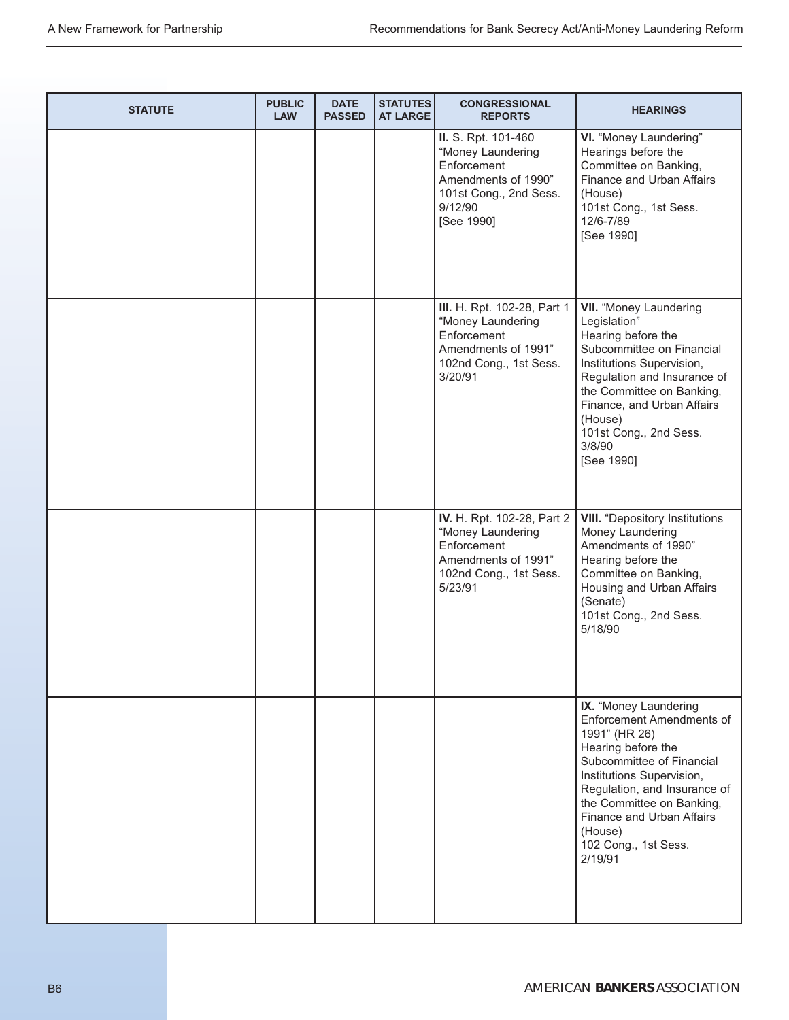| <b>STATUTE</b> | <b>PUBLIC</b><br><b>LAW</b> | <b>DATE</b><br><b>PASSED</b> | <b>STATUTES</b><br><b>AT LARGE</b> | <b>CONGRESSIONAL</b><br><b>REPORTS</b>                                                                                            | <b>HEARINGS</b>                                                                                                                                                                                                                                                                             |
|----------------|-----------------------------|------------------------------|------------------------------------|-----------------------------------------------------------------------------------------------------------------------------------|---------------------------------------------------------------------------------------------------------------------------------------------------------------------------------------------------------------------------------------------------------------------------------------------|
|                |                             |                              |                                    | II. S. Rpt. 101-460<br>"Money Laundering<br>Enforcement<br>Amendments of 1990"<br>101st Cong., 2nd Sess.<br>9/12/90<br>[See 1990] | VI. "Money Laundering"<br>Hearings before the<br>Committee on Banking,<br>Finance and Urban Affairs<br>(House)<br>101st Cong., 1st Sess.<br>12/6-7/89<br>[See 1990]                                                                                                                         |
|                |                             |                              |                                    | III. H. Rpt. 102-28, Part 1<br>"Money Laundering<br>Enforcement<br>Amendments of 1991"<br>102nd Cong., 1st Sess.<br>3/20/91       | <b>VII.</b> "Money Laundering<br>Legislation"<br>Hearing before the<br>Subcommittee on Financial<br>Institutions Supervision,<br>Regulation and Insurance of<br>the Committee on Banking,<br>Finance, and Urban Affairs<br>(House)<br>101st Cong., 2nd Sess.<br>3/8/90<br>[See 1990]        |
|                |                             |                              |                                    | IV. H. Rpt. 102-28, Part 2<br>"Money Laundering<br>Enforcement<br>Amendments of 1991"<br>102nd Cong., 1st Sess.<br>5/23/91        | <b>VIII.</b> "Depository Institutions<br>Money Laundering<br>Amendments of 1990"<br>Hearing before the<br>Committee on Banking,<br>Housing and Urban Affairs<br>(Senate)<br>101st Cong., 2nd Sess.<br>5/18/90                                                                               |
|                |                             |                              |                                    |                                                                                                                                   | IX. "Money Laundering<br>Enforcement Amendments of<br>1991" (HR 26)<br>Hearing before the<br>Subcommittee of Financial<br>Institutions Supervision,<br>Regulation, and Insurance of<br>the Committee on Banking,<br>Finance and Urban Affairs<br>(House)<br>102 Cong., 1st Sess.<br>2/19/91 |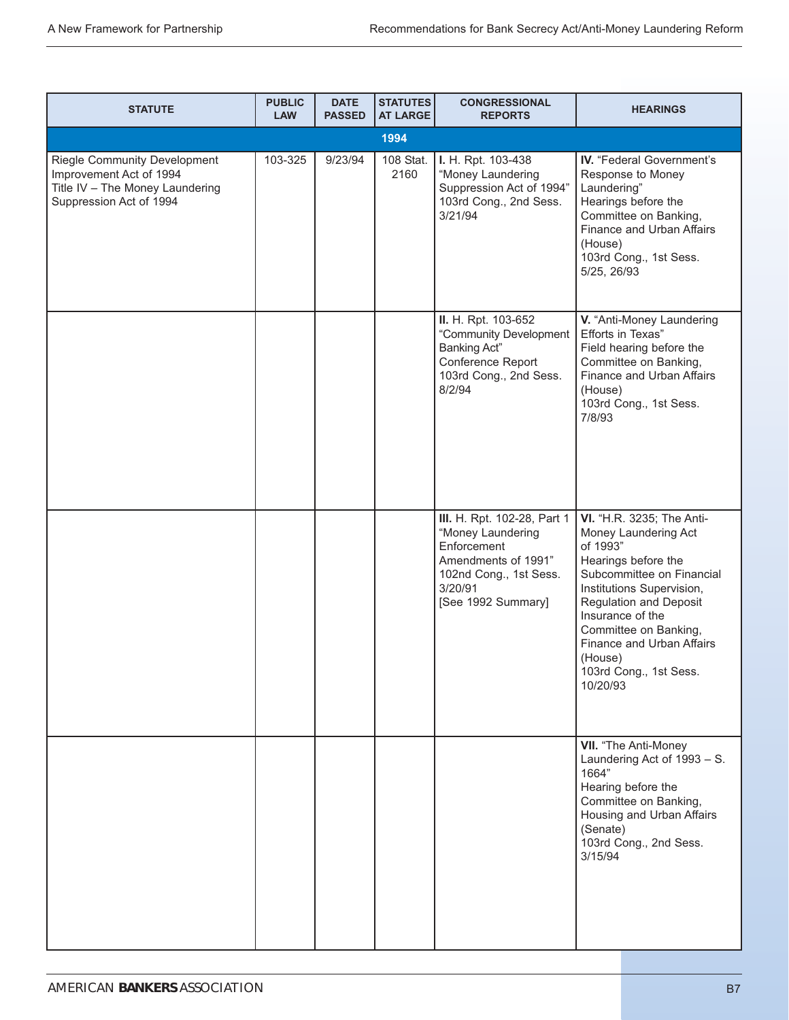| <b>STATUTE</b>                                                                                                               | <b>PUBLIC</b><br><b>LAW</b> | <b>DATE</b><br><b>PASSED</b> | <b>STATUTES</b><br><b>AT LARGE</b> | <b>CONGRESSIONAL</b><br><b>REPORTS</b>                                                                                                            | <b>HEARINGS</b>                                                                                                                                                                                                                                                                                            |
|------------------------------------------------------------------------------------------------------------------------------|-----------------------------|------------------------------|------------------------------------|---------------------------------------------------------------------------------------------------------------------------------------------------|------------------------------------------------------------------------------------------------------------------------------------------------------------------------------------------------------------------------------------------------------------------------------------------------------------|
|                                                                                                                              |                             |                              | 1994                               |                                                                                                                                                   |                                                                                                                                                                                                                                                                                                            |
| <b>Riegle Community Development</b><br>Improvement Act of 1994<br>Title IV - The Money Laundering<br>Suppression Act of 1994 | 103-325                     | 9/23/94                      | 108 Stat.<br>2160                  | I. H. Rpt. 103-438<br>"Money Laundering<br>Suppression Act of 1994"<br>103rd Cong., 2nd Sess.<br>3/21/94                                          | IV. "Federal Government's<br>Response to Money<br>Laundering"<br>Hearings before the<br>Committee on Banking,<br>Finance and Urban Affairs<br>(House)<br>103rd Cong., 1st Sess.<br>5/25, 26/93                                                                                                             |
|                                                                                                                              |                             |                              |                                    | II. H. Rpt. 103-652<br>"Community Development<br><b>Banking Act"</b><br>Conference Report<br>103rd Cong., 2nd Sess.<br>8/2/94                     | V. "Anti-Money Laundering<br>Efforts in Texas"<br>Field hearing before the<br>Committee on Banking,<br>Finance and Urban Affairs<br>(House)<br>103rd Cong., 1st Sess.<br>7/8/93                                                                                                                            |
|                                                                                                                              |                             |                              |                                    | III. H. Rpt. 102-28, Part 1<br>"Money Laundering<br>Enforcement<br>Amendments of 1991"<br>102nd Cong., 1st Sess.<br>3/20/91<br>[See 1992 Summary] | VI. "H.R. 3235; The Anti-<br>Money Laundering Act<br>of 1993"<br>Hearings before the<br>Subcommittee on Financial<br>Institutions Supervision,<br><b>Regulation and Deposit</b><br>Insurance of the<br>Committee on Banking,<br>Finance and Urban Affairs<br>(House)<br>103rd Cong., 1st Sess.<br>10/20/93 |
|                                                                                                                              |                             |                              |                                    |                                                                                                                                                   | VII. "The Anti-Money<br>Laundering Act of 1993 - S.<br>1664"<br>Hearing before the<br>Committee on Banking,<br>Housing and Urban Affairs<br>(Senate)<br>103rd Cong., 2nd Sess.<br>3/15/94                                                                                                                  |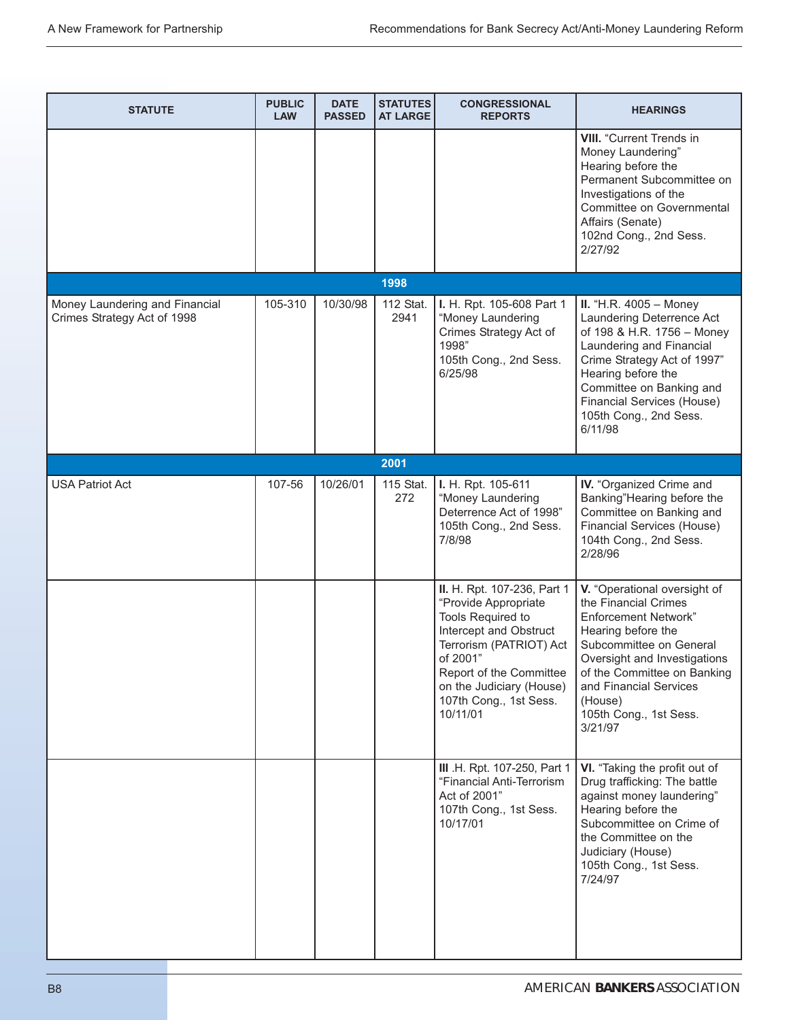| <b>STATUTE</b>                                                | <b>PUBLIC</b><br><b>LAW</b> | <b>DATE</b><br><b>PASSED</b> | <b>STATUTES</b><br><b>AT LARGE</b> | <b>CONGRESSIONAL</b><br><b>REPORTS</b>                                                                                                                                                                                                 | <b>HEARINGS</b>                                                                                                                                                                                                                                                               |
|---------------------------------------------------------------|-----------------------------|------------------------------|------------------------------------|----------------------------------------------------------------------------------------------------------------------------------------------------------------------------------------------------------------------------------------|-------------------------------------------------------------------------------------------------------------------------------------------------------------------------------------------------------------------------------------------------------------------------------|
|                                                               |                             |                              |                                    |                                                                                                                                                                                                                                        | <b>VIII.</b> "Current Trends in<br>Money Laundering"<br>Hearing before the<br>Permanent Subcommittee on<br>Investigations of the<br>Committee on Governmental<br>Affairs (Senate)<br>102nd Cong., 2nd Sess.<br>2/27/92                                                        |
|                                                               |                             |                              | 1998                               |                                                                                                                                                                                                                                        |                                                                                                                                                                                                                                                                               |
| Money Laundering and Financial<br>Crimes Strategy Act of 1998 | 105-310                     | 10/30/98                     | 112 Stat.<br>2941                  | I. H. Rpt. 105-608 Part 1<br>"Money Laundering<br>Crimes Strategy Act of<br>1998"<br>105th Cong., 2nd Sess.<br>6/25/98                                                                                                                 | <b>II.</b> "H.R. $4005 -$ Money<br>Laundering Deterrence Act<br>of 198 & H.R. 1756 - Money<br>Laundering and Financial<br>Crime Strategy Act of 1997"<br>Hearing before the<br>Committee on Banking and<br>Financial Services (House)<br>105th Cong., 2nd Sess.<br>6/11/98    |
|                                                               |                             |                              | 2001                               |                                                                                                                                                                                                                                        |                                                                                                                                                                                                                                                                               |
| <b>USA Patriot Act</b>                                        | 107-56                      | 10/26/01                     | 115 Stat.<br>272                   | I. H. Rpt. 105-611<br>"Money Laundering<br>Deterrence Act of 1998"<br>105th Cong., 2nd Sess.<br>7/8/98                                                                                                                                 | IV. "Organized Crime and<br>Banking"Hearing before the<br>Committee on Banking and<br>Financial Services (House)<br>104th Cong., 2nd Sess.<br>2/28/96                                                                                                                         |
|                                                               |                             |                              |                                    | II. H. Rpt. 107-236, Part 1<br>"Provide Appropriate<br>Tools Required to<br>Intercept and Obstruct<br>Terrorism (PATRIOT) Act<br>of 2001"<br>Report of the Committee<br>on the Judiciary (House)<br>107th Cong., 1st Sess.<br>10/11/01 | V. "Operational oversight of<br>the Financial Crimes<br><b>Enforcement Network"</b><br>Hearing before the<br>Subcommittee on General<br>Oversight and Investigations<br>of the Committee on Banking<br>and Financial Services<br>(House)<br>105th Cong., 1st Sess.<br>3/21/97 |
|                                                               |                             |                              |                                    | III .H. Rpt. 107-250, Part 1<br>"Financial Anti-Terrorism<br>Act of 2001"<br>107th Cong., 1st Sess.<br>10/17/01                                                                                                                        | VI. "Taking the profit out of<br>Drug trafficking: The battle<br>against money laundering"<br>Hearing before the<br>Subcommittee on Crime of<br>the Committee on the<br>Judiciary (House)<br>105th Cong., 1st Sess.<br>7/24/97                                                |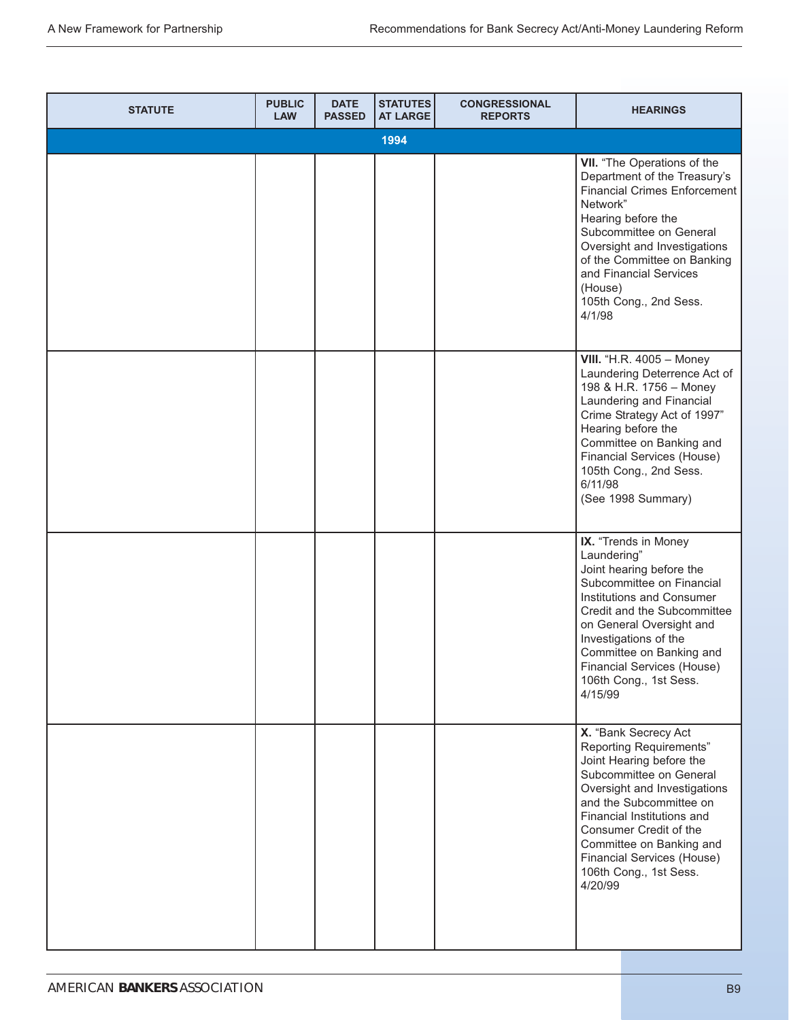| <b>STATUTE</b> | <b>PUBLIC</b><br><b>LAW</b> | <b>DATE</b><br><b>PASSED</b> | <b>STATUTES</b><br><b>AT LARGE</b> | <b>CONGRESSIONAL</b><br><b>REPORTS</b> | <b>HEARINGS</b>                                                                                                                                                                                                                                                                                                          |
|----------------|-----------------------------|------------------------------|------------------------------------|----------------------------------------|--------------------------------------------------------------------------------------------------------------------------------------------------------------------------------------------------------------------------------------------------------------------------------------------------------------------------|
|                |                             |                              | 1994                               |                                        |                                                                                                                                                                                                                                                                                                                          |
|                |                             |                              |                                    |                                        | VII. "The Operations of the<br>Department of the Treasury's<br><b>Financial Crimes Enforcement</b><br>Network"<br>Hearing before the<br>Subcommittee on General<br>Oversight and Investigations<br>of the Committee on Banking<br>and Financial Services<br>(House)<br>105th Cong., 2nd Sess.<br>4/1/98                  |
|                |                             |                              |                                    |                                        | <b>VIII.</b> "H.R. 4005 - Money<br>Laundering Deterrence Act of<br>198 & H.R. 1756 - Money<br>Laundering and Financial<br>Crime Strategy Act of 1997"<br>Hearing before the<br>Committee on Banking and<br>Financial Services (House)<br>105th Cong., 2nd Sess.<br>6/11/98<br>(See 1998 Summary)                         |
|                |                             |                              |                                    |                                        | IX. "Trends in Money<br>Laundering"<br>Joint hearing before the<br>Subcommittee on Financial<br>Institutions and Consumer<br>Credit and the Subcommittee<br>on General Oversight and<br>Investigations of the<br>Committee on Banking and<br>Financial Services (House)<br>106th Cong., 1st Sess.<br>4/15/99             |
|                |                             |                              |                                    |                                        | X. "Bank Secrecy Act<br>Reporting Requirements"<br>Joint Hearing before the<br>Subcommittee on General<br>Oversight and Investigations<br>and the Subcommittee on<br>Financial Institutions and<br>Consumer Credit of the<br>Committee on Banking and<br>Financial Services (House)<br>106th Cong., 1st Sess.<br>4/20/99 |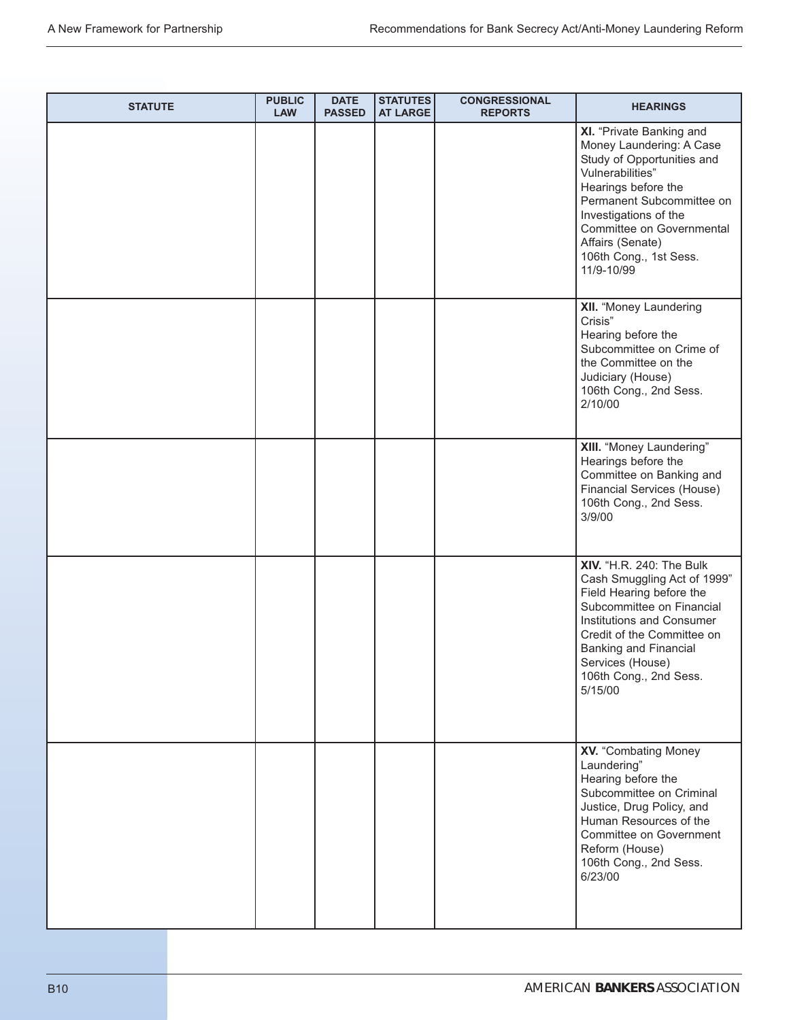| <b>STATUTE</b> | <b>PUBLIC</b><br><b>LAW</b> | <b>DATE</b><br><b>PASSED</b> | STATUTES<br><b>AT LARGE</b> | <b>CONGRESSIONAL</b><br><b>REPORTS</b> | <b>HEARINGS</b>                                                                                                                                                                                                                                                              |
|----------------|-----------------------------|------------------------------|-----------------------------|----------------------------------------|------------------------------------------------------------------------------------------------------------------------------------------------------------------------------------------------------------------------------------------------------------------------------|
|                |                             |                              |                             |                                        | XI. "Private Banking and<br>Money Laundering: A Case<br>Study of Opportunities and<br>Vulnerabilities"<br>Hearings before the<br>Permanent Subcommittee on<br>Investigations of the<br>Committee on Governmental<br>Affairs (Senate)<br>106th Cong., 1st Sess.<br>11/9-10/99 |
|                |                             |                              |                             |                                        | XII. "Money Laundering<br>Crisis"<br>Hearing before the<br>Subcommittee on Crime of<br>the Committee on the<br>Judiciary (House)<br>106th Cong., 2nd Sess.<br>2/10/00                                                                                                        |
|                |                             |                              |                             |                                        | <b>XIII.</b> "Money Laundering"<br>Hearings before the<br>Committee on Banking and<br>Financial Services (House)<br>106th Cong., 2nd Sess.<br>3/9/00                                                                                                                         |
|                |                             |                              |                             |                                        | <b>XIV.</b> "H.R. 240: The Bulk<br>Cash Smuggling Act of 1999"<br>Field Hearing before the<br>Subcommittee on Financial<br>Institutions and Consumer<br>Credit of the Committee on<br>Banking and Financial<br>Services (House)<br>106th Cong., 2nd Sess.<br>5/15/00         |
|                |                             |                              |                             |                                        | XV. "Combating Money<br>Laundering"<br>Hearing before the<br>Subcommittee on Criminal<br>Justice, Drug Policy, and<br>Human Resources of the<br>Committee on Government<br>Reform (House)<br>106th Cong., 2nd Sess.<br>6/23/00                                               |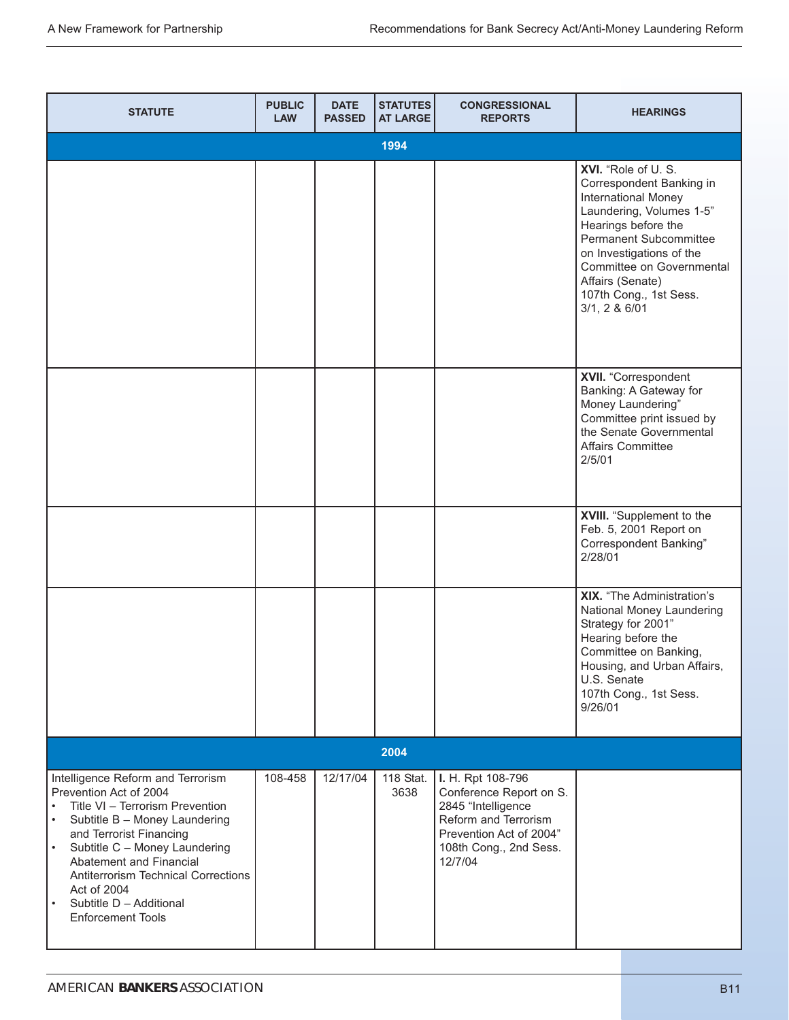| <b>STATUTE</b>                                                                                                                                                                                                                                                                                                                                                                                 | <b>PUBLIC</b><br><b>LAW</b> | <b>DATE</b><br><b>PASSED</b> | <b>STATUTES</b><br><b>AT LARGE</b> | <b>CONGRESSIONAL</b><br><b>REPORTS</b>                                                                                                                     | <b>HEARINGS</b>                                                                                                                                                                                                                                                            |
|------------------------------------------------------------------------------------------------------------------------------------------------------------------------------------------------------------------------------------------------------------------------------------------------------------------------------------------------------------------------------------------------|-----------------------------|------------------------------|------------------------------------|------------------------------------------------------------------------------------------------------------------------------------------------------------|----------------------------------------------------------------------------------------------------------------------------------------------------------------------------------------------------------------------------------------------------------------------------|
|                                                                                                                                                                                                                                                                                                                                                                                                |                             |                              | 1994                               |                                                                                                                                                            |                                                                                                                                                                                                                                                                            |
|                                                                                                                                                                                                                                                                                                                                                                                                |                             |                              |                                    |                                                                                                                                                            | XVI. "Role of U.S.<br>Correspondent Banking in<br>International Money<br>Laundering, Volumes 1-5"<br>Hearings before the<br>Permanent Subcommittee<br>on Investigations of the<br>Committee on Governmental<br>Affairs (Senate)<br>107th Cong., 1st Sess.<br>3/1, 2 & 6/01 |
|                                                                                                                                                                                                                                                                                                                                                                                                |                             |                              |                                    |                                                                                                                                                            | XVII. "Correspondent<br>Banking: A Gateway for<br>Money Laundering"<br>Committee print issued by<br>the Senate Governmental<br>Affairs Committee<br>2/5/01                                                                                                                 |
|                                                                                                                                                                                                                                                                                                                                                                                                |                             |                              |                                    |                                                                                                                                                            | XVIII. "Supplement to the<br>Feb. 5, 2001 Report on<br><b>Correspondent Banking"</b><br>2/28/01                                                                                                                                                                            |
|                                                                                                                                                                                                                                                                                                                                                                                                |                             |                              |                                    |                                                                                                                                                            | XIX. "The Administration's<br>National Money Laundering<br>Strategy for 2001"<br>Hearing before the<br>Committee on Banking,<br>Housing, and Urban Affairs,<br>U.S. Senate<br>107th Cong., 1st Sess.<br>9/26/01                                                            |
|                                                                                                                                                                                                                                                                                                                                                                                                |                             |                              | 2004                               |                                                                                                                                                            |                                                                                                                                                                                                                                                                            |
| Intelligence Reform and Terrorism<br>Prevention Act of 2004<br>Title VI - Terrorism Prevention<br>$\bullet$<br>Subtitle B - Money Laundering<br>$\bullet$<br>and Terrorist Financing<br>Subtitle C - Money Laundering<br>$\bullet$<br>Abatement and Financial<br><b>Antiterrorism Technical Corrections</b><br>Act of 2004<br>Subtitle D - Additional<br>$\bullet$<br><b>Enforcement Tools</b> | 108-458                     | 12/17/04                     | 118 Stat.<br>3638                  | I. H. Rpt 108-796<br>Conference Report on S.<br>2845 "Intelligence<br>Reform and Terrorism<br>Prevention Act of 2004"<br>108th Cong., 2nd Sess.<br>12/7/04 |                                                                                                                                                                                                                                                                            |